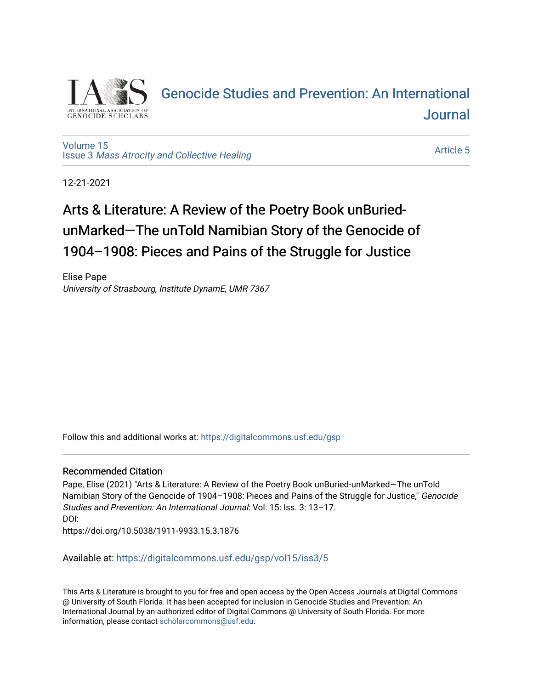

## [Genocide Studies and Prevention: An International](https://digitalcommons.usf.edu/gsp)  [Journal](https://digitalcommons.usf.edu/gsp)

[Volume 15](https://digitalcommons.usf.edu/gsp/vol15) Issue 3 [Mass Atrocity and Collective Healing](https://digitalcommons.usf.edu/gsp/vol15/iss3) 

[Article 5](https://digitalcommons.usf.edu/gsp/vol15/iss3/5) 

12-21-2021

# Arts & Literature: A Review of the Poetry Book unBuriedunMarked—The unTold Namibian Story of the Genocide of 1904–1908: Pieces and Pains of the Struggle for Justice

Elise Pape University of Strasbourg, Institute DynamE, UMR 7367

Follow this and additional works at: [https://digitalcommons.usf.edu/gsp](https://digitalcommons.usf.edu/gsp?utm_source=digitalcommons.usf.edu%2Fgsp%2Fvol15%2Fiss3%2F5&utm_medium=PDF&utm_campaign=PDFCoverPages) 

### Recommended Citation

Pape, Elise (2021) "Arts & Literature: A Review of the Poetry Book unBuried-unMarked—The unTold Namibian Story of the Genocide of 1904–1908: Pieces and Pains of the Struggle for Justice," Genocide Studies and Prevention: An International Journal: Vol. 15: Iss. 3: 13–17. DOI: https://doi.org/10.5038/1911-9933.15.3.1876

Available at: [https://digitalcommons.usf.edu/gsp/vol15/iss3/5](https://digitalcommons.usf.edu/gsp/vol15/iss3/5?utm_source=digitalcommons.usf.edu%2Fgsp%2Fvol15%2Fiss3%2F5&utm_medium=PDF&utm_campaign=PDFCoverPages)

This Arts & Literature is brought to you for free and open access by the Open Access Journals at Digital Commons @ University of South Florida. It has been accepted for inclusion in Genocide Studies and Prevention: An International Journal by an authorized editor of Digital Commons @ University of South Florida. For more information, please contact [scholarcommons@usf.edu](mailto:scholarcommons@usf.edu).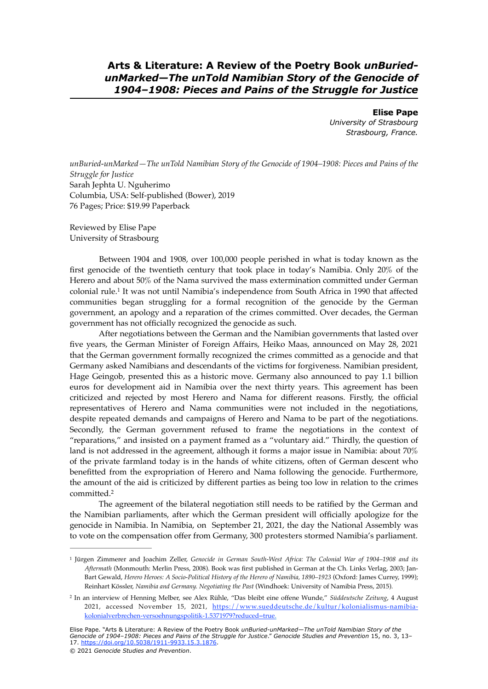**Arts & Literature: A Review of the Poetry Book** *unBuriedunMarked—The unTold Namibian Story of the Genocide of 1904–1908: Pieces and Pains of the Struggle for Justice*

> **Elise Pape** *University of Strasbourg Strasbourg, France.*

*unBuried-unMarked—The unTold Namibian Story of the Genocide of 1904–1908: Pieces and Pains of the Struggle for Justice* Sarah Jephta U. Nguherimo Columbia, USA: Self-published (Bower), 2019 76 Pages; Price: \$19.99 Paperback

Reviewed by Elise Pape University of Strasbourg

<span id="page-1-2"></span>Between 1904 and 1908, over 100,000 people perished in what is today known as the first genocide of the twentieth century that took place in today's Namibia. Only 20% of the Herero and about 50% of the Nama survived the mass extermination committed under German colonial rule.<sup>[1](#page-1-0)</sup> It was not until Namibia's independence from South Africa in 1990 that affected communities began struggling for a formal recognition of the genocide by the German government, an apology and a reparation of the crimes committed. Over decades, the German government has not officially recognized the genocide as such.

After negotiations between the German and the Namibian governments that lasted over five years, the German Minister of Foreign Affairs, Heiko Maas, announced on May 28, 2021 that the German government formally recognized the crimes committed as a genocide and that Germany asked Namibians and descendants of the victims for forgiveness. Namibian president, Hage Geingob, presented this as a historic move. Germany also announced to pay 1.1 billion euros for development aid in Namibia over the next thirty years. This agreement has been criticized and rejected by most Herero and Nama for different reasons. Firstly, the official representatives of Herero and Nama communities were not included in the negotiations, despite repeated demands and campaigns of Herero and Nama to be part of the negotiations. Secondly, the German government refused to frame the negotiations in the context of "reparations," and insisted on a payment framed as a "voluntary aid." Thirdly, the question of land is not addressed in the agreement, although it forms a major issue in Namibia: about 70% of the private farmland today is in the hands of white citizens, often of German descent who benefitted from the expropriation of Herero and Nama following the genocide. Furthermore, the amount of the aid is criticized by different parties as being too low in relation to the crimes committed[.2](#page-1-1)

<span id="page-1-3"></span>The agreement of the bilateral negotiation still needs to be ratified by the German and the Namibian parliaments, after which the German president will officially apologize for the genocide in Namibia. In Namibia, on September 21, 2021, the day the National Assembly was to vote on the compensation offer from Germany, 300 protesters stormed Namibia's parliament.

Elise Pape. "Arts & Literature: A Review of the Poetry Book *unBuried-unMarked—The unTold Namibian Story of the Genocide of 1904–1908: Pieces and Pains of the Struggle for Justice*." *Genocide Studies and Prevention* 15, no. 3, 13– 17. <https://doi.org/10.5038/1911-9933.15.3.1876>. © 2021 *Genocide Studies and Prevention*.

<span id="page-1-0"></span>Jürgen Zimmerer and Joachim Zeller, *Genocide in German South-West Africa: The Colonial War of 1904–1908 and its* [1](#page-1-2) *Aftermath* (Monmouth: Merlin Press, 2008). Book was first published in German at the Ch. Links Verlag, 2003; Jan-Bart Gewald, *Herero Heroes: A Socio-Political History of the Herero of Namibia, 1890–1923* (Oxford: James Currey, 1999); Reinhart Kössler, *Namibia and Germany. Negotiating the Past* (Windhoek: University of Namibia Press, 2015).

<span id="page-1-1"></span>In an interview of Henning Melber, see Alex Rühle, "Das bleibt eine offene Wunde," *Süddeutsche Zeitung*, 4 August [2](#page-1-3) [2021, accessed November 15, 2021, https://www.sueddeutsche.de/kultur/kolonialismus-namibia](https://www.sueddeutsche.de/kultur/kolonialismus-namibia-kolonialverbrechen-versoehnungspolitik-1.5371979?reduced=true)[kolonialverbrechen-versoehnungspolitik-1.5371979?reduced=true](https://www.sueddeutsche.de/kultur/kolonialismus-namibia-kolonialverbrechen-versoehnungspolitik-1.5371979?reduced=true).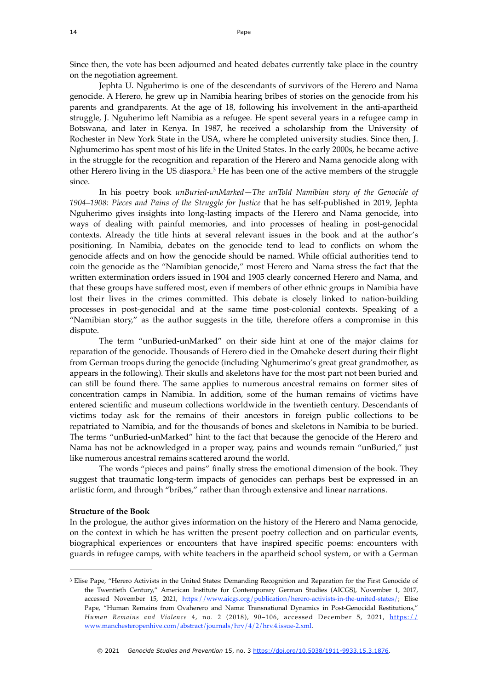Since then, the vote has been adjourned and heated debates currently take place in the country on the negotiation agreement.

Jephta U. Nguherimo is one of the descendants of survivors of the Herero and Nama genocide. A Herero, he grew up in Namibia hearing bribes of stories on the genocide from his parents and grandparents. At the age of 18, following his involvement in the anti-apartheid struggle, J. Nguherimo left Namibia as a refugee. He spent several years in a refugee camp in Botswana, and later in Kenya. In 1987, he received a scholarship from the University of Rochester in New York State in the USA, where he completed university studies. Since then, J. Nghumerimo has spent most of his life in the United States. In the early 2000s, he became active in the struggle for the recognition and reparation of the Herero and Nama genocide along with other Herero living in the US diaspora.<sup>[3](#page-2-0)</sup> He has been one of the active members of the struggle since.

<span id="page-2-1"></span>In his poetry book *unBuried-unMarked—The unTold Namibian story of the Genocide of 1904–1908: Pieces and Pains of the Struggle for Justice* that he has self-published in 2019, Jephta Nguherimo gives insights into long-lasting impacts of the Herero and Nama genocide, into ways of dealing with painful memories, and into processes of healing in post-genocidal contexts. Already the title hints at several relevant issues in the book and at the author's positioning. In Namibia, debates on the genocide tend to lead to conflicts on whom the genocide affects and on how the genocide should be named. While official authorities tend to coin the genocide as the "Namibian genocide," most Herero and Nama stress the fact that the written extermination orders issued in 1904 and 1905 clearly concerned Herero and Nama, and that these groups have suffered most, even if members of other ethnic groups in Namibia have lost their lives in the crimes committed. This debate is closely linked to nation-building processes in post-genocidal and at the same time post-colonial contexts. Speaking of a "Namibian story," as the author suggests in the title, therefore offers a compromise in this dispute.

The term "unBuried-unMarked" on their side hint at one of the major claims for reparation of the genocide. Thousands of Herero died in the Omaheke desert during their flight from German troops during the genocide (including Nghumerimo's great great grandmother, as appears in the following). Their skulls and skeletons have for the most part not been buried and can still be found there. The same applies to numerous ancestral remains on former sites of concentration camps in Namibia. In addition, some of the human remains of victims have entered scientific and museum collections worldwide in the twentieth century. Descendants of victims today ask for the remains of their ancestors in foreign public collections to be repatriated to Namibia, and for the thousands of bones and skeletons in Namibia to be buried. The terms "unBuried-unMarked" hint to the fact that because the genocide of the Herero and Nama has not be acknowledged in a proper way, pains and wounds remain "unBuried," just like numerous ancestral remains scattered around the world.

The words "pieces and pains" finally stress the emotional dimension of the book. They suggest that traumatic long-term impacts of genocides can perhaps best be expressed in an artistic form, and through "bribes," rather than through extensive and linear narrations.

#### **Structure of the Book**

In the prologue, the author gives information on the history of the Herero and Nama genocide, on the context in which he has written the present poetry collection and on particular events, biographical experiences or encounters that have inspired specific poems: encounters with guards in refugee camps, with white teachers in the apartheid school system, or with a German

<span id="page-2-0"></span><sup>&</sup>lt;sup>3</sup>Elise Pape, "Herero Activists in the United States: Demanding Recognition and Reparation for the First Genocide of the Twentieth Century," American Institute for Contemporary German Studies (AICGS), November 1, 2017, accessed November 15, 2021, [https://www.aicgs.org/publication/herero-activists-in-the-united-states/;](https://www.aicgs.org/publication/herero-activists-in-the-united-states/) Elise Pape, "Human Remains from Ovaherero and Nama: Transnational Dynamics in Post-Genocidal Restitutions," *Human Remains and Violence* 4, no. 2 (2018), 90–106, accessed December 5, 2021, [https://](https://www.manchesteropenhive.com/abstract/journals/hrv/4/2/hrv.4.issue-2.xml) [www.manchesteropenhive.com/abstract/journals/hrv/4/2/hrv.4.issue-2.xml](https://www.manchesteropenhive.com/abstract/journals/hrv/4/2/hrv.4.issue-2.xml).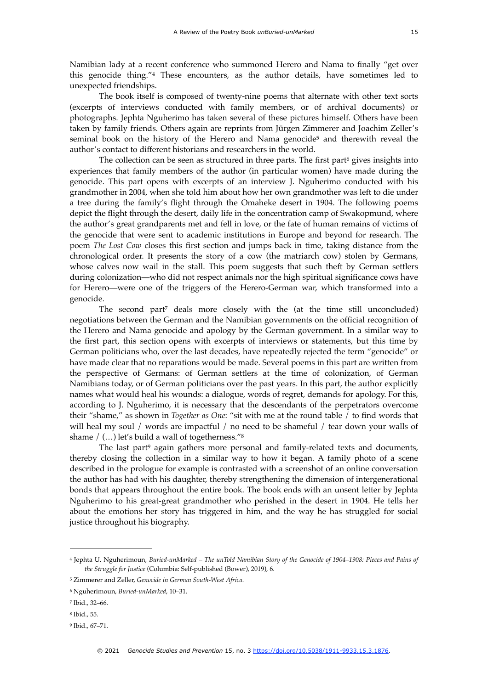<span id="page-3-6"></span>Namibian lady at a recent conference who summoned Herero and Nama to finally "get over this genocide thing."<sup>[4](#page-3-0)</sup> These encounters, as the author details, have sometimes led to unexpected friendships.

The book itself is composed of twenty-nine poems that alternate with other text sorts (excerpts of interviews conducted with family members, or of archival documents) or photographs. Jephta Nguherimo has taken several of these pictures himself. Others have been taken by family friends. Others again are reprints from Jürgen Zimmerer and Joachim Zeller's s[e](#page-3-1)minal book on the history of the Herero and Nama genocide<sup>[5](#page-3-1)</sup> and therewith reveal the author's contact to different historians and researchers in the world.

<span id="page-3-8"></span><span id="page-3-7"></span>The collec[t](#page-3-2)ion can be seen as structured in three parts. The first part  $\phi$  gives insights into experiences that family members of the author (in particular women) have made during the genocide. This part opens with excerpts of an interview J. Nguherimo conducted with his grandmother in 2004, when she told him about how her own grandmother was left to die under a tree during the family's flight through the Omaheke desert in 1904. The following poems depict the flight through the desert, daily life in the concentration camp of Swakopmund, where the author's great grandparents met and fell in love, or the fate of human remains of victims of the genocide that were sent to academic institutions in Europe and beyond for research. The poem *The Lost Cow* closes this first section and jumps back in time, taking distance from the chronological order. It presents the story of a cow (the matriarch cow) stolen by Germans, whose calves now wail in the stall. This poem suggests that such theft by German settlers during colonization—who did not respect animals nor the high spiritual significance cows have for Herero—were one of the triggers of the Herero-German war, which transformed into a genocide.

<span id="page-3-9"></span>The second part<sup>7</sup> deals more closely with the (a[t](#page-3-3) the time still unconcluded) negotiations between the German and the Namibian governments on the official recognition of the Herero and Nama genocide and apology by the German government. In a similar way to the first part, this section opens with excerpts of interviews or statements, but this time by German politicians who, over the last decades, have repeatedly rejected the term "genocide" or have made clear that no reparations would be made. Several poems in this part are written from the perspective of Germans: of German settlers at the time of colonization, of German Namibians today, or of German politicians over the past years. In this part, the author explicitly names what would heal his wounds: a dialogue, words of regret, demands for apology. For this, according to J. Nguherimo, it is necessary that the descendants of the perpetrators overcome their "shame," as shown in *Together as One*: "sit with me at the round table / to find words that will heal my soul / words are impactful / no need to be shameful / tear down your walls of shame  $/$  (...) let's build a wall of togetherness." $8$ 

<span id="page-3-11"></span><span id="page-3-10"></span>The las[t](#page-3-5) part<sup>[9](#page-3-5)</sup> again gathers more personal and family-related texts and documents, thereby closing the collection in a similar way to how it began. A family photo of a scene described in the prologue for example is contrasted with a screenshot of an online conversation the author has had with his daughter, thereby strengthening the dimension of intergenerational bonds that appears throughout the entire book. The book ends with an unsent letter by Jephta Nguherimo to his great-great grandmother who perished in the desert in 1904. He tells her about the emotions her story has triggered in him, and the way he has struggled for social justice throughout his biography.

<span id="page-3-0"></span>Jephta U. Nguherimoun, *Buried-unMarked – The unTold Namibian Story of the Genocide of 1904–1908: Pieces and Pains of* [4](#page-3-6) *the Struggle for Justice* (Columbia: Self-published (Bower), 2019), 6.

<span id="page-3-1"></span>Zimmerer and Zeller, *Genocide in German South-West Africa*. [5](#page-3-7)

<span id="page-3-2"></span>Nguherimoun, *Buried-unMarked*, 10–31. [6](#page-3-8)

<span id="page-3-3"></span><sup>&</sup>lt;sup>[7](#page-3-9)</sup> Ibid., 32-66.

<span id="page-3-4"></span><sup>&</sup>lt;sup>[8](#page-3-10)</sup> Ibid., 55.

<span id="page-3-5"></span><sup>&</sup>lt;sup>[9](#page-3-11)</sup> Ibid., 67-71.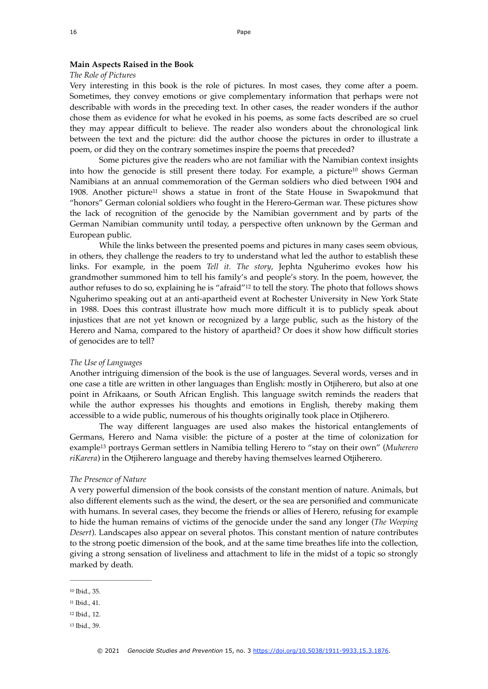#### **Main Aspects Raised in the Book**

#### *The Role of Pictures*

Very interesting in this book is the role of pictures. In most cases, they come after a poem. Sometimes, they convey emotions or give complementary information that perhaps were not describable with words in the preceding text. In other cases, the reader wonders if the author chose them as evidence for what he evoked in his poems, as some facts described are so cruel they may appear difficult to believe. The reader also wonders about the chronological link between the text and the picture: did the author choose the pictures in order to illustrate a poem, or did they on the contrary sometimes inspire the poems that preceded?

<span id="page-4-5"></span><span id="page-4-4"></span>Some pictures give the readers who are not familiar with the Namibian context insights intohow the genocide is still present there today. For example, a picture<sup>[10](#page-4-0)</sup> shows German Namibians at an annual commemoration of the German soldiers who died between 1904 and 1908. Another picture<sup>11</sup> shows a statu[e](#page-4-1) in front of the State House in Swapokmund that "honors" German colonial soldiers who fought in the Herero-German war. These pictures show the lack of recognition of the genocide by the Namibian government and by parts of the German Namibian community until today, a perspective often unknown by the German and European public.

<span id="page-4-6"></span>While the links between the presented poems and pictures in many cases seem obvious, in others, they challenge the readers to try to understand what led the author to establish these links. For example, in the poem *Tell it. The story*, Jephta Nguherimo evokes how his grandmother summoned him to tell his family's and people's story. In the poem, however, the author refuses to do so, explaining he is "afraid"<sup>[12](#page-4-2)</sup> to tell the story. The photo that follows shows Nguherimo speaking out at an anti-apartheid event at Rochester University in New York State in 1988. Does this contrast illustrate how much more difficult it is to publicly speak about injustices that are not yet known or recognized by a large public, such as the history of the Herero and Nama, compared to the history of apartheid? Or does it show how difficult stories of genocides are to tell?

#### *The Use of Languages*

Another intriguing dimension of the book is the use of languages. Several words, verses and in one case a title are written in other languages than English: mostly in Otjiherero, but also at one point in Afrikaans, or South African English. This language switch reminds the readers that while the author expresses his thoughts and emotions in English, thereby making them accessible to a wide public, numerous of his thoughts originally took place in Otjiherero.

<span id="page-4-7"></span>The way different languages are used also makes the historical entanglements of Germans, Herero and Nama visible: the picture of a poster at the time of colonization for example<sup>13</sup> portrays German settlers in Namibia telling Herero to "stay on their own" (*Muherero riKarera*) in the Otjiherero language and thereby having themselves learned Otjiherero.

#### *The Presence of Nature*

A very powerful dimension of the book consists of the constant mention of nature. Animals, but also different elements such as the wind, the desert, or the sea are personified and communicate with humans. In several cases, they become the friends or allies of Herero, refusing for example to hide the human remains of victims of the genocide under the sand any longer (*The Weeping Desert*). Landscapes also appear on several photos. This constant mention of nature contributes to the strong poetic dimension of the book, and at the same time breathes life into the collection, giving a strong sensation of liveliness and attachment to life in the midst of a topic so strongly marked by death.

<span id="page-4-0"></span><sup>&</sup>lt;sup>[10](#page-4-4)</sup> Ibid., 35.

<span id="page-4-1"></span><sup>&</sup>lt;sup>[11](#page-4-5)</sup> Ibid., 41.

<span id="page-4-2"></span><sup>&</sup>lt;sup>[12](#page-4-6)</sup> Ibid., 12.

<span id="page-4-3"></span><sup>&</sup>lt;sup>[13](#page-4-7)</sup> Ibid., 39.